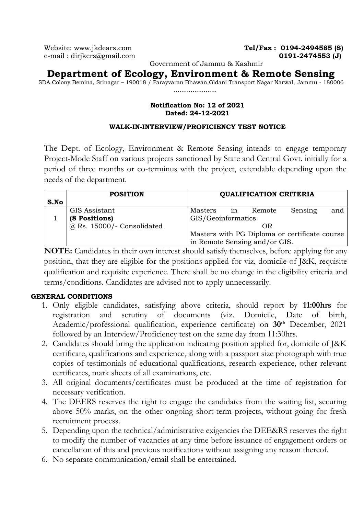Website: [www.jkdears.com](http://www.jkdears.com/) **Tel/Fax : 0194-2494585 (S)** e-mail : dirjkers@gmail.com **0191-2474553 (J)** 

Government of Jammu & Kashmir

**Department of Ecology, Environment & Remote Sensing**

SDA Colony Bemina, Srinagar – 190018 / Parayvaran Bhawan,Gldani Transport Nagar Narwal, Jammu - 180006 .......................

## **Notification No: 12 of 2021 Dated: 24-12-2021**

### **WALK-IN-INTERVIEW/PROFICIENCY TEST NOTICE**

The Dept. of Ecology, Environment & Remote Sensing intends to engage temporary Project-Mode Staff on various projects sanctioned by State and Central Govt. initially for a period of three months or co-terminus with the project, extendable depending upon the needs of the department.

|      | <b>POSITION</b>              | <b>QUALIFICATION CRITERIA</b>                 |  |  |  |  |  |  |  |
|------|------------------------------|-----------------------------------------------|--|--|--|--|--|--|--|
| S.No |                              |                                               |  |  |  |  |  |  |  |
|      | GIS Assistant                | Sensing<br>Masters<br>Remote<br>and<br>1n     |  |  |  |  |  |  |  |
|      | (8 Positions)                | GIS/Geoinformatics                            |  |  |  |  |  |  |  |
|      | $@$ Rs. 15000/- Consolidated | OR)                                           |  |  |  |  |  |  |  |
|      |                              | Masters with PG Diploma or certificate course |  |  |  |  |  |  |  |
|      |                              | in Remote Sensing and/or GIS.                 |  |  |  |  |  |  |  |

**NOTE:** Candidates in their own interest should satisfy themselves, before applying for any position, that they are eligible for the positions applied for viz, domicile of J&K, requisite qualification and requisite experience. There shall be no change in the eligibility criteria and terms/conditions. Candidates are advised not to apply unnecessarily.

## **GENERAL CONDITIONS**

- 1. Only eligible candidates, satisfying above criteria, should report by **11:00hrs** for registration and scrutiny of documents (viz. Domicile, Date of birth, Academic/professional qualification, experience certificate) on **30th** December, 2021 followed by an Interview/Proficiency test on the same day from 11:30hrs.
- 2. Candidates should bring the application indicating position applied for, domicile of J&K certificate, qualifications and experience, along with a passport size photograph with true copies of testimonials of educational qualifications, research experience, other relevant certificates, mark sheets of all examinations, etc.
- 3. All original documents/certificates must be produced at the time of registration for necessary verification.
- 4. The DEERS reserves the right to engage the candidates from the waiting list, securing above 50% marks, on the other ongoing short-term projects, without going for fresh recruitment process.
- 5. Depending upon the technical/administrative exigencies the DEE&RS reserves the right to modify the number of vacancies at any time before issuance of engagement orders or cancellation of this and previous notifications without assigning any reason thereof.
- 6. No separate communication/email shall be entertained.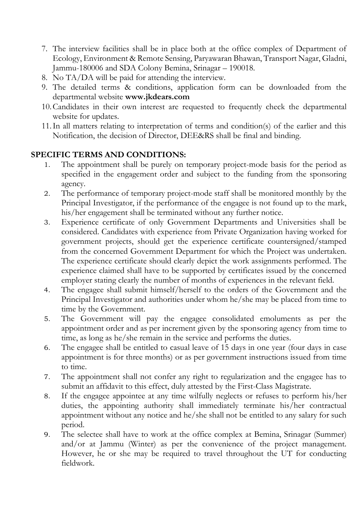- 7. The interview facilities shall be in place both at the office complex of Department of Ecology, Environment & Remote Sensing, Paryawaran Bhawan, Transport Nagar, Gladni, Jammu-180006 and SDA Colony Bemina, Srinagar – 190018.
- 8. No TA/DA will be paid for attending the interview.
- 9. The detailed terms & conditions, application form can be downloaded from the departmental website **[www.jkdears.com](http://www.jkdears.com/)**
- 10.Candidates in their own interest are requested to frequently check the departmental website for updates.
- 11.In all matters relating to interpretation of terms and condition(s) of the earlier and this Notification, the decision of Director, DEE&RS shall be final and binding.

# **SPECIFIC TERMS AND CONDITIONS:**

- 1. The appointment shall be purely on temporary project-mode basis for the period as specified in the engagement order and subject to the funding from the sponsoring agency.
- 2. The performance of temporary project-mode staff shall be monitored monthly by the Principal Investigator, if the performance of the engagee is not found up to the mark, his/her engagement shall be terminated without any further notice.
- 3. Experience certificate of only Government Departments and Universities shall be considered. Candidates with experience from Private Organization having worked for government projects, should get the experience certificate countersigned/stamped from the concerned Government Department for which the Project was undertaken. The experience certificate should clearly depict the work assignments performed. The experience claimed shall have to be supported by certificates issued by the concerned employer stating clearly the number of months of experiences in the relevant field.
- 4. The engagee shall submit himself/herself to the orders of the Government and the Principal Investigator and authorities under whom he/she may be placed from time to time by the Government.
- 5. The Government will pay the engagee consolidated emoluments as per the appointment order and as per increment given by the sponsoring agency from time to time, as long as he/she remain in the service and performs the duties.
- 6. The engagee shall be entitled to casual leave of 15 days in one year (four days in case appointment is for three months) or as per government instructions issued from time to time.
- 7. The appointment shall not confer any right to regularization and the engagee has to submit an affidavit to this effect, duly attested by the First-Class Magistrate.
- 8. If the engagee appointee at any time wilfully neglects or refuses to perform his/her duties, the appointing authority shall immediately terminate his/her contractual appointment without any notice and he/she shall not be entitled to any salary for such period.
- 9. The selectee shall have to work at the office complex at Bemina, Srinagar (Summer) and/or at Jammu (Winter) as per the convenience of the project management. However, he or she may be required to travel throughout the UT for conducting fieldwork.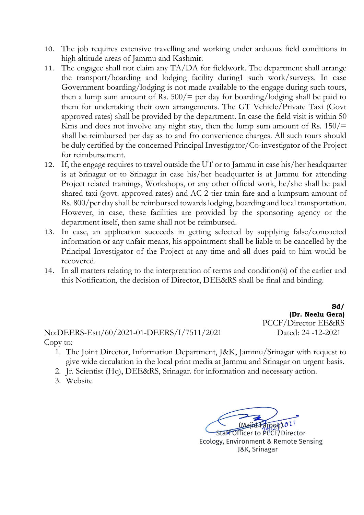- 10. The job requires extensive travelling and working under arduous field conditions in high altitude areas of Jammu and Kashmir.
- 11. The engagee shall not claim any TA/DA for fieldwork. The department shall arrange the transport/boarding and lodging facility during1 such work/surveys. In case Government boarding/lodging is not made available to the engage during such tours, then a lump sum amount of Rs.  $500/=\text{per day}$  for boarding/lodging shall be paid to them for undertaking their own arrangements. The GT Vehicle/Private Taxi (Govt approved rates) shall be provided by the department. In case the field visit is within 50 Kms and does not involve any night stay, then the lump sum amount of Rs.  $150/$ = shall be reimbursed per day as to and fro convenience charges. All such tours should be duly certified by the concerned Principal Investigator/Co-investigator of the Project for reimbursement.
- 12. If, the engage requires to travel outside the UT or to Jammu in case his/her headquarter is at Srinagar or to Srinagar in case his/her headquarter is at Jammu for attending Project related trainings, Workshops, or any other official work, he/she shall be paid shared taxi (govt. approved rates) and AC 2-tier train fare and a lumpsum amount of Rs. 800/per day shall be reimbursed towards lodging, boarding and local transportation. However, in case, these facilities are provided by the sponsoring agency or the department itself, then same shall not be reimbursed.
- 13. In case, an application succeeds in getting selected by supplying false/concocted information or any unfair means, his appointment shall be liable to be cancelled by the Principal Investigator of the Project at any time and all dues paid to him would be recovered.
- 14. In all matters relating to the interpretation of terms and condition(s) of the earlier and this Notification, the decision of Director, DEE&RS shall be final and binding.

No:DEERS-Estt/60/2021-01-DEERS/I/7511/2021 Dated: 24 -12-2021 Copy to:

**Sd/ (Dr. Neelu Gera)**  PCCF/Director EE&RS

- 1. The Joint Director, Information Department, J&K, Jammu/Srinagar with request to give wide circulation in the local print media at Jammu and Srinagar on urgent basis.
- 2. Jr. Scientist (Hq), DEE&RS, Srinagar. for information and necessary action.
- 3. Website

 $TQQQQQ2$ Staff Officer to PCCF/Director Ecology, Environment & Remote Sensing

J&K, Srinagar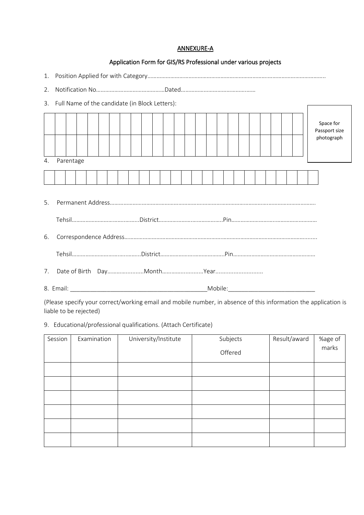#### ANNEXURE-A

#### Application Form for GIS/RS Professional under various projects

|--|--|--|

2. Notification No………………………………………Dated…………………………………….……

3. Full Name of the candidate (in Block Letters):

|    |           |  |  |  |  |  |  |  |  |  |  |  |  |  |  |  |  | Space for<br>Passport size<br>photograph |
|----|-----------|--|--|--|--|--|--|--|--|--|--|--|--|--|--|--|--|------------------------------------------|
| 4. | Parentage |  |  |  |  |  |  |  |  |  |  |  |  |  |  |  |  |                                          |
|    |           |  |  |  |  |  |  |  |  |  |  |  |  |  |  |  |  |                                          |

- 5. Permanent Address…………………………………………………….…………………………………….…………………………. Tehsil……………………………..……...District………………….………………..Pin………………………..……………………… 6. Correspondence Address……………………………………………………….………………………………………………........ Tehsil………………………….…..……...District………………….………………..Pin……………………………………………… 7. Date of Birth Day…………...........Month…………..............Year.............................
- 8. Email: \_\_\_\_\_\_\_\_\_\_\_\_\_\_\_\_\_\_\_\_\_\_\_\_\_\_\_\_\_\_\_\_\_\_\_\_\_\_\_\_\_Mobile:\_\_\_\_\_\_\_\_\_\_\_\_\_\_\_\_\_\_\_\_\_\_\_\_\_\_

(Please specify your correct/working email and mobile number, in absence of this information the application is liable to be rejected)

9. Educational/professional qualifications. (Attach Certificate)

| Session | Examination | University/Institute | Subjects<br>Offered | Result/award | %age of<br>marks |
|---------|-------------|----------------------|---------------------|--------------|------------------|
|         |             |                      |                     |              |                  |
|         |             |                      |                     |              |                  |
|         |             |                      |                     |              |                  |
|         |             |                      |                     |              |                  |
|         |             |                      |                     |              |                  |
|         |             |                      |                     |              |                  |